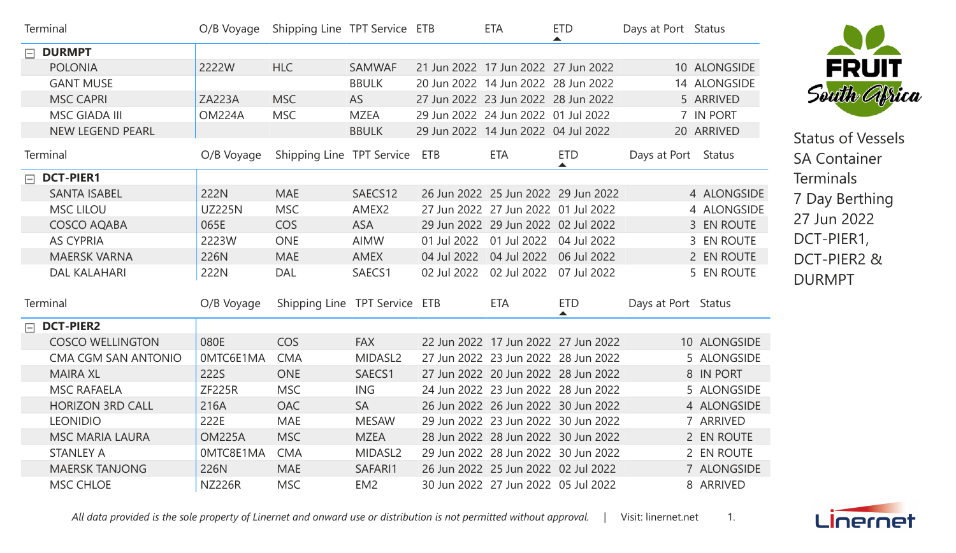| Terminal         |                         | O/B Voyage    | Shipping Line TPT Service ETB |                 | <b>ETA</b>                            | <b>ETD</b><br>$\blacktriangle$ | Days at Port Status |              |
|------------------|-------------------------|---------------|-------------------------------|-----------------|---------------------------------------|--------------------------------|---------------------|--------------|
| $\Box$ DURMPT    |                         |               |                               |                 |                                       |                                |                     |              |
|                  | <b>POLONIA</b>          | 2222W         | <b>HLC</b>                    | <b>SAMWAF</b>   | 21 Jun 2022 17 Jun 2022 27 Jun 2022   |                                |                     | 10 ALONGSIDE |
|                  | <b>GANT MUSE</b>        |               |                               | <b>BBULK</b>    | 20 Jun 2022 14 Jun 2022 28 Jun 2022   |                                |                     | 14 ALONGSIDE |
|                  | <b>MSC CAPRI</b>        | <b>ZA223A</b> | <b>MSC</b>                    | AS              | 27 Jun 2022 23 Jun 2022 28 Jun 2022   |                                |                     | 5 ARRIVED    |
|                  | <b>MSC GIADA III</b>    | <b>OM224A</b> | <b>MSC</b>                    | <b>MZEA</b>     | 29 Jun 2022 24 Jun 2022 01 Jul 2022   |                                |                     | 7 IN PORT    |
|                  | <b>NEW LEGEND PEARL</b> |               |                               | <b>BBULK</b>    | 29 Jun 2022 14 Jun 2022 04 Jul 2022   |                                |                     | 20 ARRIVED   |
| Terminal         |                         | O/B Voyage    | Shipping Line TPT Service ETB |                 | <b>ETA</b>                            | <b>ETD</b>                     | Days at Port Status |              |
| $\Box$ DCT-PIER1 |                         |               |                               |                 |                                       |                                |                     |              |
|                  | <b>SANTA ISABEL</b>     | 222N          | <b>MAE</b>                    | SAECS12         | 26 Jun 2022 25 Jun 2022 29 Jun 2022   |                                |                     | 4 ALONGSIDE  |
|                  | <b>MSC LILOU</b>        | <b>UZ225N</b> | <b>MSC</b>                    | AMEX2           | 27 Jun 2022 27 Jun 2022 01 Jul 2022   |                                |                     | 4 ALONGSIDE  |
|                  | <b>COSCO AQABA</b>      | 065E          | <b>COS</b>                    | <b>ASA</b>      | 29 Jun 2022 29 Jun 2022 02 Jul 2022   |                                |                     | 3 EN ROUTE   |
|                  | <b>AS CYPRIA</b>        | 2223W         | <b>ONE</b>                    | <b>AIMW</b>     | 01 Jul 2022 01 Jul 2022 04 Jul 2022   |                                |                     | 3 EN ROUTE   |
|                  | <b>MAERSK VARNA</b>     | 226N          | <b>MAE</b>                    | AMEX            | 04 Jul 2022  04 Jul 2022  06 Jul 2022 |                                |                     | 2 EN ROUTE   |
|                  | <b>DAL KALAHARI</b>     | 222N          | <b>DAL</b>                    | SAECS1          | 02 Jul 2022 02 Jul 2022               | 07 Jul 2022                    |                     | 5 EN ROUTE   |
|                  |                         |               |                               |                 |                                       |                                |                     |              |
| Terminal         |                         | O/B Voyage    | Shipping Line TPT Service ETB |                 | ETA                                   | <b>ETD</b><br>▲                | Days at Port Status |              |
| $\Box$ DCT-PIER2 |                         |               |                               |                 |                                       |                                |                     |              |
|                  | <b>COSCO WELLINGTON</b> | 080E          | <b>COS</b>                    | <b>FAX</b>      | 22 Jun 2022 17 Jun 2022 27 Jun 2022   |                                |                     | 10 ALONGSIDE |
|                  | CMA CGM SAN ANTONIO     | 0MTC6E1MA     | <b>CMA</b>                    | MIDASL2         | 27 Jun 2022 23 Jun 2022 28 Jun 2022   |                                |                     | 5 ALONGSIDE  |
|                  | <b>MAIRA XL</b>         | 222S          | <b>ONE</b>                    | SAECS1          | 27 Jun 2022 20 Jun 2022 28 Jun 2022   |                                |                     | 8 IN PORT    |
|                  | <b>MSC RAFAELA</b>      | <b>ZF225R</b> | <b>MSC</b>                    | <b>ING</b>      | 24 Jun 2022 23 Jun 2022 28 Jun 2022   |                                |                     | 5 ALONGSIDE  |
|                  | <b>HORIZON 3RD CALL</b> | 216A          | <b>OAC</b>                    | <b>SA</b>       | 26 Jun 2022 26 Jun 2022 30 Jun 2022   |                                |                     | 4 ALONGSIDE  |
|                  | <b>LEONIDIO</b>         | 222E          | <b>MAE</b>                    | <b>MESAW</b>    | 29 Jun 2022 23 Jun 2022 30 Jun 2022   |                                |                     | 7 ARRIVED    |
|                  | <b>MSC MARIA LAURA</b>  | <b>OM225A</b> | <b>MSC</b>                    | <b>MZEA</b>     | 28 Jun 2022 28 Jun 2022 30 Jun 2022   |                                |                     | 2 EN ROUTE   |
|                  | <b>STANLEY A</b>        | 0MTC8E1MA     | <b>CMA</b>                    | MIDASL2         | 29 Jun 2022 28 Jun 2022 30 Jun 2022   |                                |                     | 2 EN ROUTE   |
|                  | <b>MAERSK TANJONG</b>   | 226N          | <b>MAE</b>                    | SAFARI1         | 26 Jun 2022 25 Jun 2022 02 Jul 2022   |                                |                     | 7 ALONGSIDE  |
|                  | <b>MSC CHLOE</b>        | <b>NZ226R</b> | <b>MSC</b>                    | EM <sub>2</sub> | 30 Jun 2022 27 Jun 2022 05 Jul 2022   |                                |                     | 8 ARRIVED    |

All data provided is the sole property of Linernet and onward use or distribution is not permitted without approval. | Visit: linernet.net 1.



Status of Vessels SA Container **Terminals** 7 Day Berthing 27 Jun 2022 DCT-PIER1, DCT-PIER2 & DURMPT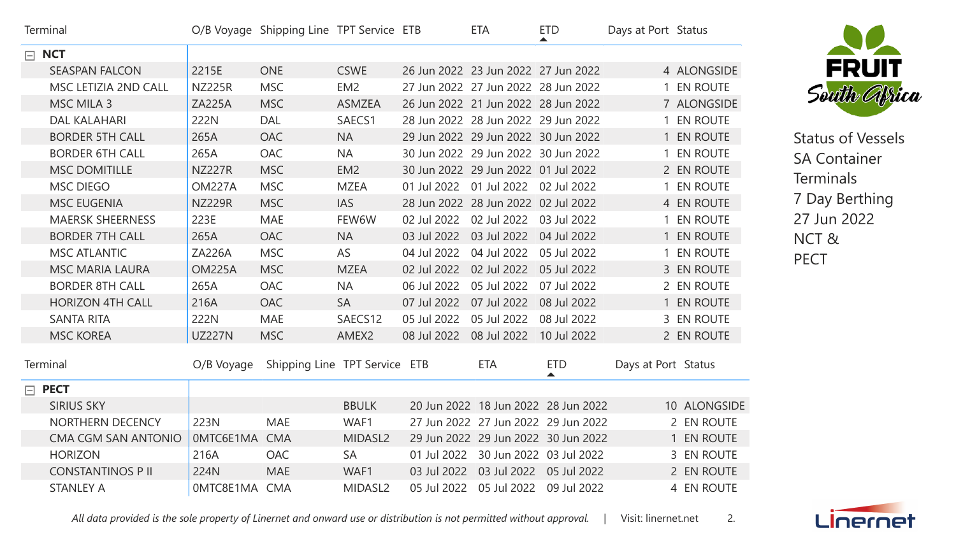| Terminal                   |               | O/B Voyage Shipping Line TPT Service ETB |                     |                                       | <b>ETA</b>               | <b>ETD</b><br>▲                     | Days at Port Status |                 |
|----------------------------|---------------|------------------------------------------|---------------------|---------------------------------------|--------------------------|-------------------------------------|---------------------|-----------------|
| $\Box$ NCT                 |               |                                          |                     |                                       |                          |                                     |                     |                 |
| <b>SEASPAN FALCON</b>      | 2215E         | <b>ONE</b>                               | <b>CSWE</b>         | 26 Jun 2022 23 Jun 2022 27 Jun 2022   |                          |                                     |                     | 4 ALONGSIDE     |
| MSC LETIZIA 2ND CALL       | <b>NZ225R</b> | <b>MSC</b>                               | EM <sub>2</sub>     | 27 Jun 2022 27 Jun 2022 28 Jun 2022   |                          |                                     |                     | 1 EN ROUTE      |
| <b>MSC MILA 3</b>          | <b>ZA225A</b> | <b>MSC</b>                               | <b>ASMZEA</b>       | 26 Jun 2022 21 Jun 2022 28 Jun 2022   |                          |                                     |                     | 7 ALONGSIDE     |
| <b>DAL KALAHARI</b>        | 222N          | <b>DAL</b>                               | SAECS1              | 28 Jun 2022 28 Jun 2022 29 Jun 2022   |                          |                                     |                     | 1 EN ROUTE      |
| <b>BORDER 5TH CALL</b>     | 265A          | <b>OAC</b>                               | <b>NA</b>           | 29 Jun 2022 29 Jun 2022 30 Jun 2022   |                          |                                     |                     | 1 EN ROUTE      |
| <b>BORDER 6TH CALL</b>     | 265A          | <b>OAC</b>                               | <b>NA</b>           | 30 Jun 2022 29 Jun 2022 30 Jun 2022   |                          |                                     |                     | 1 EN ROUTE      |
| <b>MSC DOMITILLE</b>       | <b>NZ227R</b> | <b>MSC</b>                               | EM <sub>2</sub>     | 30 Jun 2022 29 Jun 2022 01 Jul 2022   |                          |                                     |                     | 2 EN ROUTE      |
| <b>MSC DIEGO</b>           | <b>OM227A</b> | <b>MSC</b>                               | <b>MZEA</b>         | 01 Jul 2022 01 Jul 2022 02 Jul 2022   |                          |                                     |                     | 1 EN ROUTE      |
| <b>MSC EUGENIA</b>         | <b>NZ229R</b> | <b>MSC</b>                               | <b>IAS</b>          | 28 Jun 2022 28 Jun 2022 02 Jul 2022   |                          |                                     |                     | 4 EN ROUTE      |
| <b>MAERSK SHEERNESS</b>    | 223E          | <b>MAE</b>                               | FEW6W               | 02 Jul 2022  02 Jul 2022  03 Jul 2022 |                          |                                     |                     | 1 EN ROUTE      |
| <b>BORDER 7TH CALL</b>     | 265A          | <b>OAC</b>                               | <b>NA</b>           | 03 Jul 2022                           | 03 Jul 2022              | 04 Jul 2022                         |                     | 1 EN ROUTE      |
| <b>MSC ATLANTIC</b>        | <b>ZA226A</b> | <b>MSC</b>                               | AS                  | 04 Jul 2022                           | 04 Jul 2022              | 05 Jul 2022                         |                     | <b>EN ROUTE</b> |
| <b>MSC MARIA LAURA</b>     | <b>OM225A</b> | <b>MSC</b>                               | <b>MZEA</b>         | 02 Jul 2022                           | 02 Jul 2022              | 05 Jul 2022                         |                     | 3 EN ROUTE      |
| <b>BORDER 8TH CALL</b>     | 265A          | OAC                                      | <b>NA</b>           | 06 Jul 2022                           | 05 Jul 2022              | 07 Jul 2022                         |                     | 2 EN ROUTE      |
| <b>HORIZON 4TH CALL</b>    | 216A          | <b>OAC</b>                               | <b>SA</b>           | 07 Jul 2022                           | 07 Jul 2022              | 08 Jul 2022                         |                     | 1 EN ROUTE      |
| <b>SANTA RITA</b>          | 222N          | <b>MAE</b>                               | SAECS12             | 05 Jul 2022                           | 05 Jul 2022              | 08 Jul 2022                         |                     | 3 EN ROUTE      |
| <b>MSC KOREA</b>           | <b>UZ227N</b> | <b>MSC</b>                               | AMEX2               | 08 Jul 2022 08 Jul 2022               |                          | 10 Jul 2022                         |                     | 2 EN ROUTE      |
| Terminal                   | O/B Voyage    | Shipping Line TPT Service ETB            |                     |                                       | <b>ETA</b>               | <b>ETD</b><br>▲                     | Days at Port Status |                 |
| <b>PECT</b><br>$\Box$      |               |                                          |                     |                                       |                          |                                     |                     |                 |
| <b>SIRIUS SKY</b>          |               |                                          | <b>BBULK</b>        |                                       |                          | 20 Jun 2022 18 Jun 2022 28 Jun 2022 |                     | 10 ALONGSIDE    |
| <b>NORTHERN DECENCY</b>    | 223N          | <b>MAE</b>                               | WAF1                |                                       |                          | 27 Jun 2022 27 Jun 2022 29 Jun 2022 |                     | 2 EN ROUTE      |
| <b>CMA CGM SAN ANTONIO</b> | OMTC6E1MA CMA |                                          | MIDASL <sub>2</sub> |                                       |                          | 29 Jun 2022 29 Jun 2022 30 Jun 2022 |                     | 1 EN ROUTE      |
| <b>HORIZON</b>             | 216A          | <b>OAC</b>                               | <b>SA</b>           |                                       |                          | 01 Jul 2022 30 Jun 2022 03 Jul 2022 |                     | 3 EN ROUTE      |
| <b>CONSTANTINOS P II</b>   | 224N          | <b>MAE</b>                               | WAF1                |                                       |                          | 03 Jul 2022 03 Jul 2022 05 Jul 2022 |                     | 2 EN ROUTE      |
| <b>STANLEY A</b>           | OMTC8E1MA CMA |                                          | MIDASL <sub>2</sub> |                                       | 05 Jul 2022  05 Jul 2022 | 09 Jul 2022                         |                     | 4 EN ROUTE      |

Linernet

All data provided is the sole property of Linernet and onward use or distribution is not permitted without approval. | Visit: linernet.net 2.



Status of Vessels

SA Container

7 Day Berthing

27 Jun 2022

**Terminals** 

NCT &

PECT